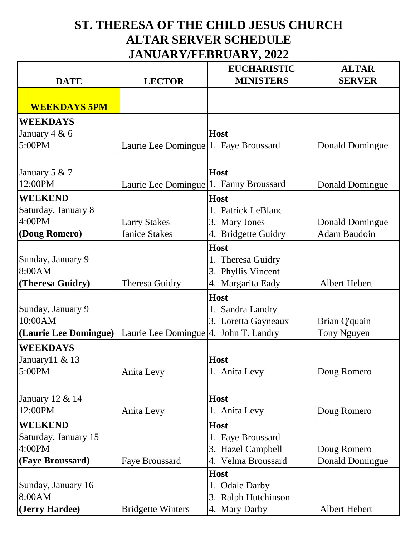## **ST. THERESA OF THE CHILD JESUS CHURCH ALTAR SERVER SCHEDULE JANUARY/FEBRUARY, 2022**

|                       |                                                     | <b>EUCHARISTIC</b>  | <b>ALTAR</b>           |
|-----------------------|-----------------------------------------------------|---------------------|------------------------|
| <b>DATE</b>           | <b>LECTOR</b>                                       | <b>MINISTERS</b>    | <b>SERVER</b>          |
|                       |                                                     |                     |                        |
| <b>WEEKDAYS 5PM</b>   |                                                     |                     |                        |
| <b>WEEKDAYS</b>       |                                                     |                     |                        |
| January $4 & 6$       |                                                     | <b>Host</b>         |                        |
| 5:00PM                | Laurie Lee Domingue <sup>[1. Faye Broussard</sup>   |                     | Donald Domingue        |
|                       |                                                     |                     |                        |
| January 5 $& 7$       |                                                     | <b>Host</b>         |                        |
| 12:00PM               | Laurie Lee Domingue <sup>[1</sup> . Fanny Broussard |                     | Donald Domingue        |
| <b>WEEKEND</b>        |                                                     | <b>Host</b>         |                        |
| Saturday, January 8   |                                                     | 1. Patrick LeBlanc  |                        |
| 4:00PM                | <b>Larry Stakes</b>                                 | 3. Mary Jones       | Donald Domingue        |
| (Doug Romero)         | <b>Janice Stakes</b>                                | 4. Bridgette Guidry | <b>Adam Baudoin</b>    |
|                       |                                                     | <b>Host</b>         |                        |
| Sunday, January 9     |                                                     | 1. Theresa Guidry   |                        |
| 8:00AM                |                                                     | 3. Phyllis Vincent  |                        |
| (Theresa Guidry)      | <b>Theresa Guidry</b>                               | 4. Margarita Eady   | Albert Hebert          |
|                       |                                                     | <b>Host</b>         |                        |
| Sunday, January 9     |                                                     | 1. Sandra Landry    |                        |
| 10:00AM               |                                                     | 3. Loretta Gayneaux | Brian Q'quain          |
| (Laurie Lee Domingue) | Laurie Lee Domingue 4. John T. Landry               |                     | Tony Nguyen            |
| <b>WEEKDAYS</b>       |                                                     |                     |                        |
| January $11 & 13$     |                                                     | <b>Host</b>         |                        |
| 5:00PM                | Anita Levy                                          | 1. Anita Levy       | Doug Romero            |
|                       |                                                     |                     |                        |
| January 12 & 14       |                                                     | <b>Host</b>         |                        |
| 12:00PM               | Anita Levy                                          | 1. Anita Levy       | Doug Romero            |
| <b>WEEKEND</b>        |                                                     | <b>Host</b>         |                        |
| Saturday, January 15  |                                                     | 1. Faye Broussard   |                        |
| 4:00PM                |                                                     | 3. Hazel Campbell   | Doug Romero            |
| (Faye Broussard)      | <b>Faye Broussard</b>                               | 4. Velma Broussard  | <b>Donald Domingue</b> |
|                       |                                                     | <b>Host</b>         |                        |
| Sunday, January 16    |                                                     | 1. Odale Darby      |                        |
| 8:00AM                |                                                     | 3. Ralph Hutchinson |                        |
| (Jerry Hardee)        | <b>Bridgette Winters</b>                            | 4. Mary Darby       | Albert Hebert          |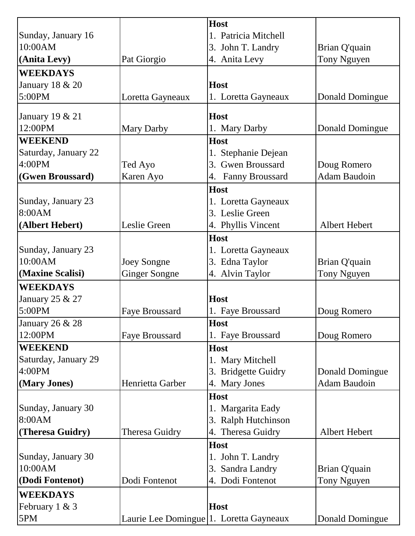|                      |                                                      | <b>Host</b>          |                     |
|----------------------|------------------------------------------------------|----------------------|---------------------|
| Sunday, January 16   |                                                      | 1. Patricia Mitchell |                     |
| 10:00AM              |                                                      | 3. John T. Landry    | Brian Q'quain       |
| (Anita Levy)         | Pat Giorgio                                          | 4. Anita Levy        | Tony Nguyen         |
| <b>WEEKDAYS</b>      |                                                      |                      |                     |
| January 18 & 20      |                                                      | <b>Host</b>          |                     |
| 5:00PM               | Loretta Gayneaux                                     | 1. Loretta Gayneaux  | Donald Domingue     |
|                      |                                                      |                      |                     |
| January 19 & 21      |                                                      | <b>Host</b>          |                     |
| 12:00PM              | Mary Darby                                           | 1. Mary Darby        | Donald Domingue     |
| <b>WEEKEND</b>       |                                                      | <b>Host</b>          |                     |
| Saturday, January 22 |                                                      | 1. Stephanie Dejean  |                     |
| 4:00PM               | Ted Ayo                                              | 3. Gwen Broussard    | Doug Romero         |
| (Gwen Broussard)     | Karen Ayo                                            | 4. Fanny Broussard   | <b>Adam Baudoin</b> |
|                      |                                                      | Host                 |                     |
| Sunday, January 23   |                                                      | 1. Loretta Gayneaux  |                     |
| 8:00AM               |                                                      | 3. Leslie Green      |                     |
| (Albert Hebert)      | Leslie Green                                         | 4. Phyllis Vincent   | Albert Hebert       |
|                      |                                                      | <b>Host</b>          |                     |
| Sunday, January 23   |                                                      | 1. Loretta Gayneaux  |                     |
| 10:00AM              | Joey Songne                                          | 3. Edna Taylor       | Brian Q'quain       |
| (Maxine Scalisi)     | <b>Ginger Songne</b>                                 | 4. Alvin Taylor      | Tony Nguyen         |
| <b>WEEKDAYS</b>      |                                                      |                      |                     |
| January 25 & 27      |                                                      | <b>Host</b>          |                     |
| 5:00PM               | <b>Faye Broussard</b>                                | 1. Faye Broussard    | Doug Romero         |
| January 26 & 28      |                                                      | <b>Host</b>          |                     |
| 12:00PM              | <b>Faye Broussard</b>                                | 1. Faye Broussard    | Doug Romero         |
| <b>WEEKEND</b>       |                                                      | <b>Host</b>          |                     |
| Saturday, January 29 |                                                      | 1. Mary Mitchell     |                     |
| 4:00PM               |                                                      | 3. Bridgette Guidry  | Donald Domingue     |
| (Mary Jones)         | Henrietta Garber                                     | 4. Mary Jones        | <b>Adam Baudoin</b> |
|                      |                                                      | <b>Host</b>          |                     |
| Sunday, January 30   |                                                      | 1. Margarita Eady    |                     |
| 8:00AM               |                                                      | 3. Ralph Hutchinson  |                     |
| (Theresa Guidry)     | Theresa Guidry                                       | 4. Theresa Guidry    | Albert Hebert       |
|                      |                                                      | Host                 |                     |
| Sunday, January 30   |                                                      | 1. John T. Landry    |                     |
| 10:00AM              |                                                      | 3. Sandra Landry     | Brian Q'quain       |
| (Dodi Fontenot)      | Dodi Fontenot                                        | 4. Dodi Fontenot     | Tony Nguyen         |
|                      |                                                      |                      |                     |
| <b>WEEKDAYS</b>      |                                                      |                      |                     |
| February 1 & 3       |                                                      | <b>Host</b>          |                     |
| 5PM                  | Laurie Lee Domingue <sup>[1. Loretta Gayneaux]</sup> |                      | Donald Domingue     |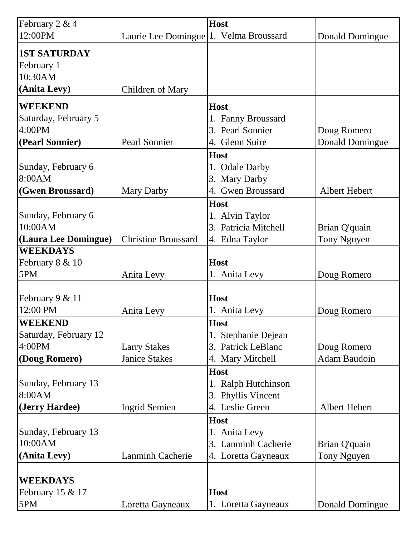| February 2 & 4        |                                        | <b>Host</b>          |                        |
|-----------------------|----------------------------------------|----------------------|------------------------|
| 12:00PM               | Laurie Lee Domingue 1. Velma Broussard |                      | Donald Domingue        |
|                       |                                        |                      |                        |
| <b>1ST SATURDAY</b>   |                                        |                      |                        |
| February 1<br>10:30AM |                                        |                      |                        |
| (Anita Levy)          |                                        |                      |                        |
|                       | <b>Children of Mary</b>                |                      |                        |
| <b>WEEKEND</b>        |                                        | <b>Host</b>          |                        |
| Saturday, February 5  |                                        | 1. Fanny Broussard   |                        |
| 4:00PM                |                                        | 3. Pearl Sonnier     | Doug Romero            |
| (Pearl Sonnier)       | Pearl Sonnier                          | 4. Glenn Suire       | <b>Donald Domingue</b> |
|                       |                                        | <b>Host</b>          |                        |
| Sunday, February 6    |                                        | 1. Odale Darby       |                        |
| 8:00AM                |                                        | 3. Mary Darby        |                        |
| (Gwen Broussard)      | <b>Mary Darby</b>                      | 4. Gwen Broussard    | Albert Hebert          |
|                       |                                        | Host                 |                        |
| Sunday, February 6    |                                        | 1. Alvin Taylor      |                        |
| 10:00AM               |                                        | 3. Patricia Mitchell | Brian Q'quain          |
| (Laura Lee Domingue)  | <b>Christine Broussard</b>             | 4. Edna Taylor       | Tony Nguyen            |
| <b>WEEKDAYS</b>       |                                        |                      |                        |
| February 8 & 10       |                                        | <b>Host</b>          |                        |
| 5PM                   | Anita Levy                             | 1. Anita Levy        | Doug Romero            |
|                       |                                        |                      |                        |
| February 9 & 11       |                                        | <b>Host</b>          |                        |
| 12:00 PM              | Anita Levy                             | 1. Anita Levy        | Doug Romero            |
| <b>WEEKEND</b>        |                                        | <b>Host</b>          |                        |
| Saturday, February 12 |                                        | 1. Stephanie Dejean  |                        |
| 4:00PM                | <b>Larry Stakes</b>                    | 3. Patrick LeBlanc   | Doug Romero            |
| (Doug Romero)         | <b>Janice Stakes</b>                   | 4. Mary Mitchell     | <b>Adam Baudoin</b>    |
|                       |                                        | <b>Host</b>          |                        |
| Sunday, February 13   |                                        | 1. Ralph Hutchinson  |                        |
| 8:00AM                |                                        | 3. Phyllis Vincent   |                        |
| (Jerry Hardee)        | <b>Ingrid Semien</b>                   | 4. Leslie Green      | Albert Hebert          |
|                       |                                        | <b>Host</b>          |                        |
| Sunday, February 13   |                                        | 1. Anita Levy        |                        |
| 10:00AM               |                                        | 3. Lanminh Cacherie  | Brian Q'quain          |
| (Anita Levy)          | <b>Lanminh Cacherie</b>                | 4. Loretta Gayneaux  | Tony Nguyen            |
|                       |                                        |                      |                        |
| <b>WEEKDAYS</b>       |                                        |                      |                        |
| February 15 & 17      |                                        | <b>Host</b>          |                        |
| 5PM                   | Loretta Gayneaux                       | 1. Loretta Gayneaux  | Donald Domingue        |